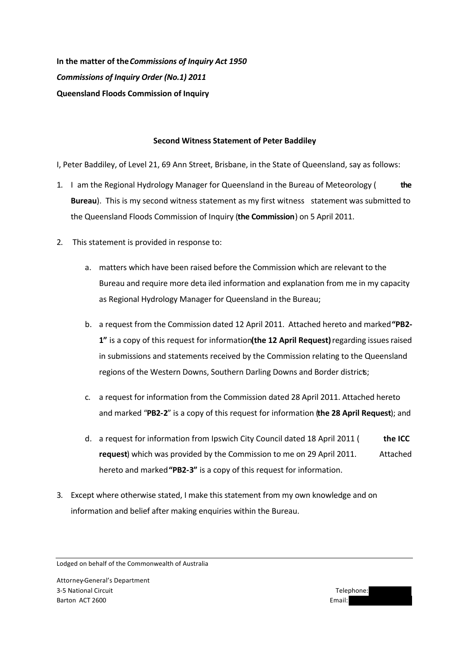**In the matter of the** *Commissions of Inquiry Act 1950 Commissions of Inquiry Order (No.1) 2011* **Queensland Floods Commission of Inquiry**

# **Second Witness Statement of Peter Baddiley**

I, Peter Baddiley, of Level 21, 69 Ann Street, Brisbane, in the State of Queensland, say as follows:

- 1. I am the Regional Hydrology Manager for Queensland in the Bureau of Meteorology ( **the Bureau**). This is my second witness statement as my first witness statement was submitted to the Queensland Floods Commission of Inquiry (**the Commission**) on 5 April 2011.
- 2. This statement is provided in response to:
	- a. matters which have been raised before the Commission which are relevant to the Bureau and require more deta iled information and explanation from me in my capacity as Regional Hydrology Manager for Queensland in the Bureau;
	- b. a request from the Commission dated 12 April 2011. Attached hereto and marked **"PB2-** 1" is a copy of this request for information (the 12 April Request) regarding issues raised in submissions and statements received by the Commission relating to the Queensland regions of the Western Downs, Southern Darling Downs and Border districts;
	- c. a request for information from the Commission dated 28 April 2011. Attached hereto and marked "**PB2-2**" is a copy of this request for information (**the 28 April Request**); and
	- d. a request for information from Ipswich City Council dated 18 April 2011 ( **the ICC request**) which was provided by the Commission to me on 29 April 2011. Attached hereto and marked **"PB2-3"** is a copy of this request for information.
- 3. Except where otherwise stated, I make this statement from my own knowledge and on information and belief after making enquiries within the Bureau.

Lodged on behalf of the Commonwealth of Australia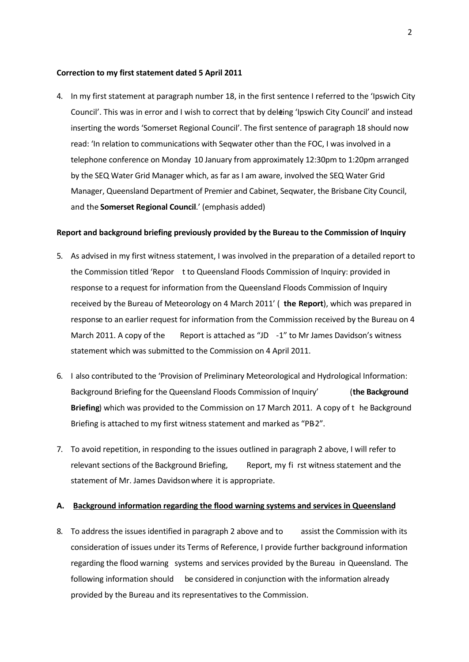#### **Correction to my first statement dated 5 April 2011**

4. In my first statement at paragraph number 18, in the first sentence I referred to the 'Ipswich City Council'. This was in error and I wish to correct that by deleting 'Ipswich City Council' and instead inserting the words 'Somerset Regional Council'. The first sentence of paragraph 18 should now read: 'In relation to communications with Seqwater other than the FOC, I was involved in a telephone conference on Monday 10 January from approximately 12:30pm to 1:20pm arranged by the SEQ Water Grid Manager which, as far as I am aware, involved the SEQ Water Grid Manager, Queensland Department of Premier and Cabinet, Seqwater, the Brisbane City Council, and the **Somerset Regional Council**.' (emphasis added)

#### **Report and background briefing previously provided by the Bureau to the Commission of Inquiry**

- 5. As advised in my first witness statement, I was involved in the preparation of a detailed report to the Commission titled 'Repor t to Queensland Floods Commission of Inquiry: provided in response to a request for information from the Queensland Floods Commission of Inquiry received by the Bureau of Meteorology on 4 March 2011' ( **the Report**), which was prepared in response to an earlier request for information from the Commission received by the Bureau on 4 March 2011. A copy of the Report is attached as "JD  $-1$ " to Mr James Davidson's witness statement which was submitted to the Commission on 4 April 2011.
- 6. I also contributed to the 'Provision of Preliminary Meteorological and Hydrological Information: Background Briefing for the Queensland Floods Commission of Inquiry' (**the Background Briefing**) which was provided to the Commission on 17 March 2011. A copy of t he Background Briefing is attached to my first witness statement and marked as "PB2".
- 7. To avoid repetition, in responding to the issues outlined in paragraph 2 above, I will refer to relevant sections of the Background Briefing, Report, my fi rst witness statement and the statement of Mr. James Davidson where it is appropriate.

#### **A. Background information regarding the flood warning systems and services in Queensland**

8. To address the issues identified in paragraph 2 above and to assist the Commission with its consideration of issues under its Terms of Reference, I provide further background information regarding the flood warning systems and services provided by the Bureau in Queensland. The following information should be considered in conjunction with the information already provided by the Bureau and its representatives to the Commission.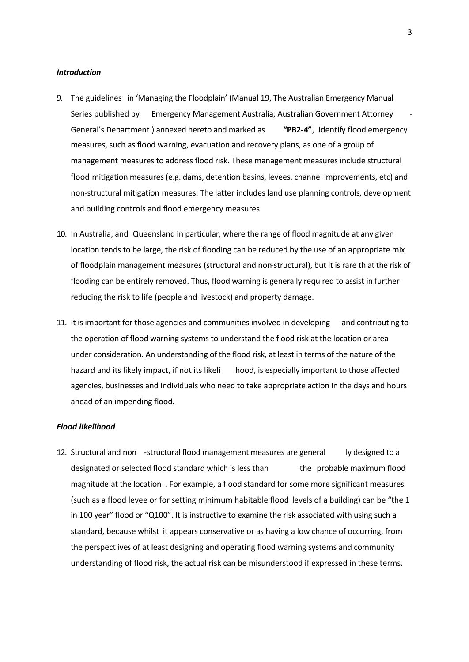#### *Introduction*

- 9. The guidelines in 'Managing the Floodplain' (Manual 19, The Australian Emergency Manual Series published by Emergency Management Australia, Australian Government Attorney - General's Department ) annexed hereto and marked as **"PB2-4"**, identify flood emergency measures, such as flood warning, evacuation and recovery plans, as one of a group of management measures to address flood risk. These management measures include structural flood mitigation measures (e.g. dams, detention basins, levees, channel improvements, etc) and non-structural mitigation measures. The latter includes land use planning controls, development and building controls and flood emergency measures.
- 10. In Australia, and Queensland in particular, where the range of flood magnitude at any given location tends to be large, the risk of flooding can be reduced by the use of an appropriate mix of floodplain management measures (structural and non-structural), but it is rare th at the risk of flooding can be entirely removed. Thus, flood warning is generally required to assist in further reducing the risk to life (people and livestock) and property damage.
- 11. It is important for those agencies and communities involved in developing and contributing to the operation of flood warning systems to understand the flood risk at the location or area under consideration. An understanding of the flood risk, at least in terms of the nature of the hazard and its likely impact, if not its likeli hood, is especially important to those affected agencies, businesses and individuals who need to take appropriate action in the days and hours ahead of an impending flood.

# *Flood likelihood*

12. Structural and non -structural flood management measures are general ly designed to a designated or selected flood standard which is less than the probable maximum flood magnitude at the location . For example, a flood standard for some more significant measures (such as a flood levee or for setting minimum habitable flood levels of a building) can be "the 1 in 100 year" flood or "Q100". It is instructive to examine the risk associated with using such a standard, because whilst it appears conservative or as having a low chance of occurring, from the perspect ives of at least designing and operating flood warning systems and community understanding of flood risk, the actual risk can be misunderstood if expressed in these terms.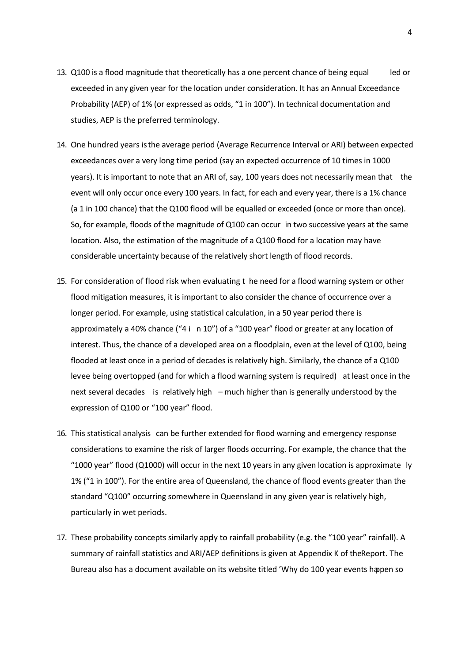- 13. Q100 is a flood magnitude that theoretically has a one percent chance of being equal led or exceeded in any given year for the location under consideration. It has an Annual Exceedance Probability (AEP) of 1% (or expressed as odds, "1 in 100"). In technical documentation and studies, AEP is the preferred terminology.
- 14. One hundred years is the average period (Average Recurrence Interval or ARI) between expected exceedances over a very long time period (say an expected occurrence of 10 times in 1000 years). It is important to note that an ARI of, say, 100 years does not necessarily mean that the event will only occur once every 100 years. In fact, for each and every year, there is a 1% chance (a 1 in 100 chance) that the Q100 flood will be equalled or exceeded (once or more than once). So, for example, floods of the magnitude of Q100 can occur in two successive years at the same location. Also, the estimation of the magnitude of a Q100 flood for a location may have considerable uncertainty because of the relatively short length of flood records.
- 15. For consideration of flood risk when evaluating t he need for a flood warning system or other flood mitigation measures, it is important to also consider the chance of occurrence over a longer period. For example, using statistical calculation, in a 50 year period there is approximately a 40% chance ("4 i n 10") of a "100 year" flood or greater at any location of interest. Thus, the chance of a developed area on a floodplain, even at the level of Q100, being flooded at least once in a period of decades is relatively high. Similarly, the chance of a Q100 levee being overtopped (and for which a flood warning system is required) at least once in the next several decades is relatively high – much higher than is generally understood by the expression of Q100 or "100 year" flood.
- 16. This statistical analysis can be further extended for flood warning and emergency response considerations to examine the risk of larger floods occurring. For example, the chance that the "1000 year" flood (Q1000) will occur in the next 10 years in any given location is approximate ly 1% ("1 in 100"). For the entire area of Queensland, the chance of flood events greater than the standard "Q100" occurring somewhere in Queensland in any given year is relatively high, particularly in wet periods.
- 17. These probability concepts similarly apply to rainfall probability (e.g. the "100 year" rainfall). A summary of rainfall statistics and ARI/AEP definitions is given at Appendix K of the Report. The Bureau also has a document available on its website titled 'Why do 100 year events happen so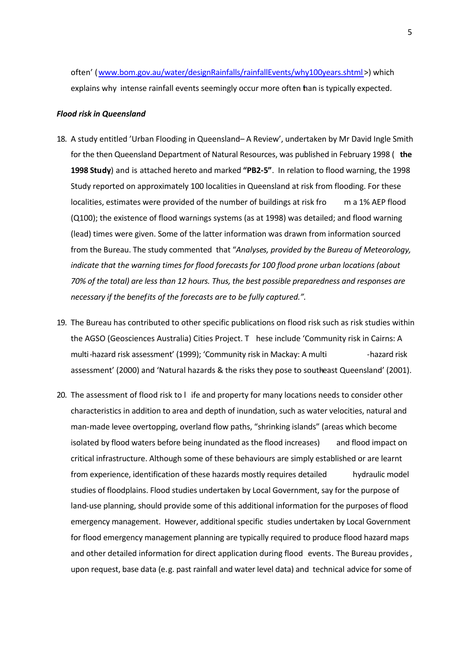often' (www.bom.gov.au/water/designRainfalls/rainfallEvents/why100years.shtml>) which explains why intense rainfall events seemingly occur more often than is typically expected.

#### *Flood risk in Queensland*

- 18. A study entitled 'Urban Flooding in Queensland-A Review', undertaken by Mr David Ingle Smith for the then Queensland Department of Natural Resources, was published in February 1998 ( **the 1998 Study**) and is attached hereto and marked **"PB2-5"**. In relation to flood warning, the 1998 Study reported on approximately 100 localities in Queensland at risk from flooding. For these localities, estimates were provided of the number of buildings at risk fro m a 1% AEP flood (Q100); the existence of flood warnings systems (as at 1998) was detailed; and flood warning (lead) times were given. Some of the latter information was drawn from information sourced from the Bureau. The study commented that "*Analyses, provided by the Bureau of Meteorology, indicate that the warning times for flood forecasts for 100 flood prone urban locations (about 70% of the total) are less than 12 hours. Thus, the best possible preparedness and responses are necessary if the benefits of the forecasts are to be fully captured.".*
- 19. The Bureau has contributed to other specific publications on flood risk such as risk studies within the AGSO (Geosciences Australia) Cities Project. T hese include 'Community risk in Cairns: A multi-hazard risk assessment' (1999); 'Community risk in Mackay: A multi - Thazard risk assessment' (2000) and 'Natural hazards & the risks they pose to southeast Queensland' (2001).
- 20. The assessment of flood risk to l ife and property for many locations needs to consider other characteristics in addition to area and depth of inundation, such as water velocities, natural and man-made levee overtopping, overland flow paths, "shrinking islands" (areas which become isolated by flood waters before being inundated as the flood increases) and flood impact on critical infrastructure. Although some of these behaviours are simply established or are learnt from experience, identification of these hazards mostly requires detailed hydraulic model studies of floodplains. Flood studies undertaken by Local Government, say for the purpose of land-use planning, should provide some of this additional information for the purposes of flood emergency management. However, additional specific studies undertaken by Local Government for flood emergency management planning are typically required to produce flood hazard maps and other detailed information for direct application during flood events. The Bureau provides, upon request, base data (e.g. past rainfall and water level data) and technical advice for some of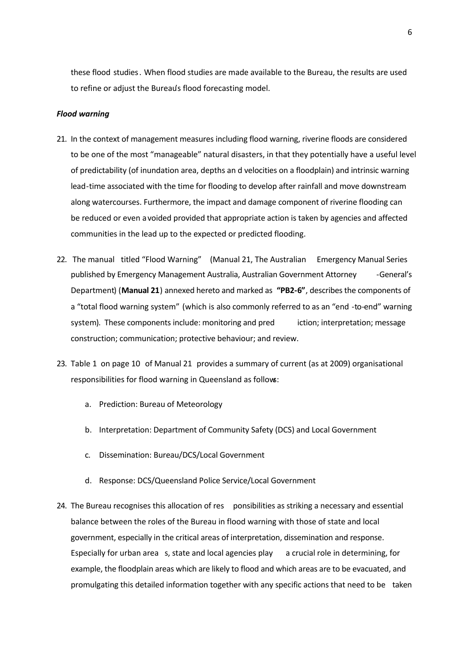these flood studies. When flood studies are made available to the Bureau, the results are used to refine or adjust the Bureau's flood forecasting model.

## *Flood warning*

- 21. In the context of management measures including flood warning, riverine floods are considered to be one of the most "manageable" natural disasters, in that they potentially have a useful level of predictability (of inundation area, depths an d velocities on a floodplain) and intrinsic warning lead-time associated with the time for flooding to develop after rainfall and move downstream along watercourses. Furthermore, the impact and damage component of riverine flooding can be reduced or even avoided provided that appropriate action is taken by agencies and affected communities in the lead up to the expected or predicted flooding.
- 22. The manual titled "Flood Warning" (Manual 21, The Australian Emergency Manual Series published by Emergency Management Australia, Australian Government Attorney - General's Department) (**Manual 21**) annexed hereto and marked as **"PB2-6"**, describes the components of a "total flood warning system" (which is also commonly referred to as an "end -to-end" warning system). These components include: monitoring and pred iction; interpretation; message construction; communication; protective behaviour; and review.
- 23. Table 1 on page 10 of Manual 21 provides a summary of current (as at 2009) organisational responsibilities for flood warning in Queensland as follows:
	- a. Prediction: Bureau of Meteorology
	- b. Interpretation: Department of Community Safety (DCS) and Local Government
	- c. Dissemination: Bureau/DCS/Local Government
	- d. Response: DCS/Queensland Police Service/Local Government
- 24. The Bureau recognises this allocation of res ponsibilities as striking a necessary and essential balance between the roles of the Bureau in flood warning with those of state and local government, especially in the critical areas of interpretation, dissemination and response. Especially for urban area s, state and local agencies play a crucial role in determining, for example, the floodplain areas which are likely to flood and which areas are to be evacuated, and promulgating this detailed information together with any specific actions that need to be taken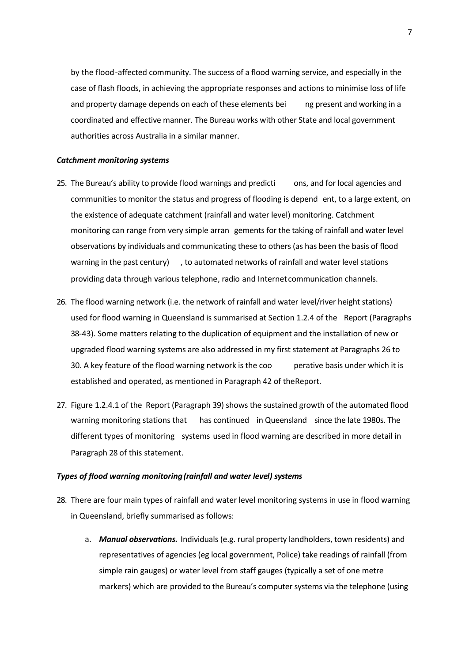by the flood-affected community. The success of a flood warning service, and especially in the case of flash floods, in achieving the appropriate responses and actions to minimise loss of life and property damage depends on each of these elements bei ng present and working in a coordinated and effective manner. The Bureau works with other State and local government authorities across Australia in a similar manner.

### *Catchment monitoring systems*

- 25. The Bureau's ability to provide flood warnings and predicti ons, and for local agencies and communities to monitor the status and progress of flooding is depend ent, to a large extent, on the existence of adequate catchment (rainfall and water level) monitoring. Catchment monitoring can range from very simple arran gements for the taking of rainfall and water level observations by individuals and communicating these to others (as has been the basis of flood warning in the past century) , to automated networks of rainfall and water level stations providing data through various telephone, radio and Internet communication channels.
- 26. The flood warning network (i.e. the network of rainfall and water level/river height stations) used for flood warning in Queensland is summarised at Section 1.2.4 of the Report (Paragraphs 38-43). Some matters relating to the duplication of equipment and the installation of new or upgraded flood warning systems are also addressed in my first statement at Paragraphs 26 to 30. A key feature of the flood warning network is the coo perative basis under which it is established and operated, as mentioned in Paragraph 42 of the Report.
- 27. Figure 1.2.4.1 of the Report (Paragraph 39) shows the sustained growth of the automated flood warning monitoring stations that has continued in Queensland since the late 1980s. The different types of monitoring systems used in flood warning are described in more detail in Paragraph 28 of this statement.

### *Types of flood warning monitoring (rainfall and water level) systems*

- 28. There are four main types of rainfall and water level monitoring systems in use in flood warning in Queensland, briefly summarised as follows:
	- a. *Manual observations.* Individuals (e.g. rural property landholders, town residents) and representatives of agencies (eg local government, Police) take readings of rainfall (from simple rain gauges) or water level from staff gauges (typically a set of one metre markers) which are provided to the Bureau's computer systems via the telephone (using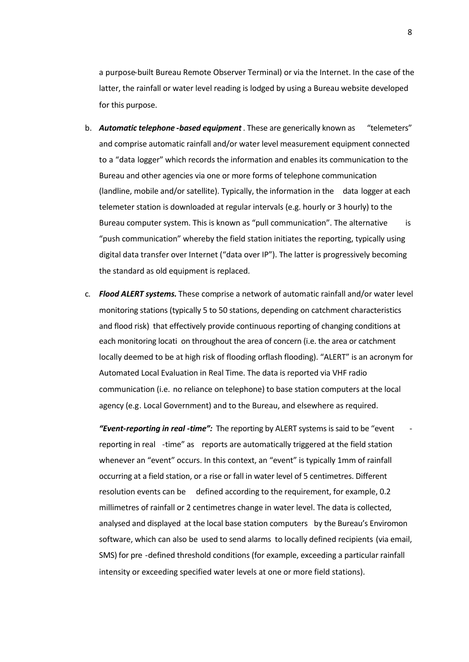a purpose-built Bureau Remote Observer Terminal) or via the Internet. In the case of the latter, the rainfall or water level reading is lodged by using a Bureau website developed for this purpose.

- b. *Automatic telephone -based equipment* . These are generically known as "telemeters" and comprise automatic rainfall and/or water level measurement equipment connected to a "data logger" which records the information and enables its communication to the Bureau and other agencies via one or more forms of telephone communication (landline, mobile and/or satellite). Typically, the information in the data logger at each telemeter station is downloaded at regular intervals (e.g. hourly or 3 hourly) to the Bureau computer system. This is known as "pull communication". The alternative is "push communication" whereby the field station initiates the reporting, typically using digital data transfer over Internet ("data over IP"). The latter is progressively becoming the standard as old equipment is replaced.
- c. *Flood ALERT systems.* These comprise a network of automatic rainfall and/or water level monitoring stations (typically 5 to 50 stations, depending on catchment characteristics and flood risk) that effectively provide continuous reporting of changing conditions at each monitoring locati on throughout the area of concern (i.e. the area or catchment locally deemed to be at high risk of flooding or flash flooding). "ALERT" is an acronym for Automated Local Evaluation in Real Time. The data is reported via VHF radio communication (i.e. no reliance on telephone) to base station computers at the local agency (e.g. Local Government) and to the Bureau, and elsewhere as required.

*"Event-reporting in real -time":* The reporting by ALERT systems is said to be "event reporting in real -time" as reports are automatically triggered at the field station whenever an "event" occurs. In this context, an "event" is typically 1mm of rainfall occurring at a field station, or a rise or fall in water level of 5 centimetres. Different resolution events can be defined according to the requirement, for example, 0.2 millimetres of rainfall or 2 centimetres change in water level. The data is collected, analysed and displayed at the local base station computers by the Bureau's Enviromon software, which can also be used to send alarms to locally defined recipients (via email, SMS) for pre -defined threshold conditions (for example, exceeding a particular rainfall intensity or exceeding specified water levels at one or more field stations).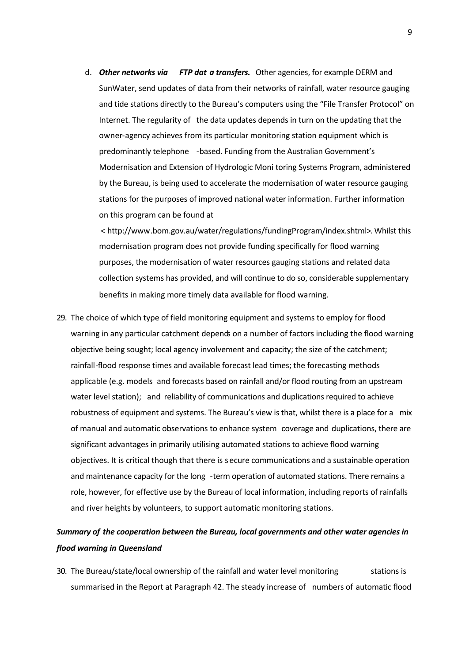d. *Other networks via FTP dat a transfers.* Other agencies, for example DERM and SunWater, send updates of data from their networks of rainfall, water resource gauging and tide stations directly to the Bureau's computers using the "File Transfer Protocol" on Internet. The regularity of the data updates depends in turn on the updating that the owner-agency achieves from its particular monitoring station equipment which is predominantly telephone -based. Funding from the Australian Government's Modernisation and Extension of Hydrologic Moni toring Systems Program, administered by the Bureau, is being used to accelerate the modernisation of water resource gauging stations for the purposes of improved national water information. Further information on this program can be found at

 < http://www.bom.gov.au/water/regulations/fundingProgram/index.shtml>. Whilst this modernisation program does not provide funding specifically for flood warning purposes, the modernisation of water resources gauging stations and related data collection systems has provided, and will continue to do so, considerable supplementary benefits in making more timely data available for flood warning.

29. The choice of which type of field monitoring equipment and systems to employ for flood warning in any particular catchment depends on a number of factors including the flood warning objective being sought; local agency involvement and capacity; the size of the catchment; rainfall-flood response times and available forecast lead times; the forecasting methods applicable (e.g. models and forecasts based on rainfall and/or flood routing from an upstream water level station); and reliability of communications and duplications required to achieve robustness of equipment and systems. The Bureau's view is that, whilst there is a place for a mix of manual and automatic observations to enhance system coverage and duplications, there are significant advantages in primarily utilising automated stations to achieve flood warning objectives. It is critical though that there is s ecure communications and a sustainable operation and maintenance capacity for the long -term operation of automated stations. There remains a role, however, for effective use by the Bureau of local information, including reports of rainfalls and river heights by volunteers, to support automatic monitoring stations.

# *Summary of the cooperation between the Bureau, local governments and other water agencies in flood warning in Queensland*

30. The Bureau/state/local ownership of the rainfall and water level monitoring stations is summarised in the Report at Paragraph 42. The steady increase of numbers of automatic flood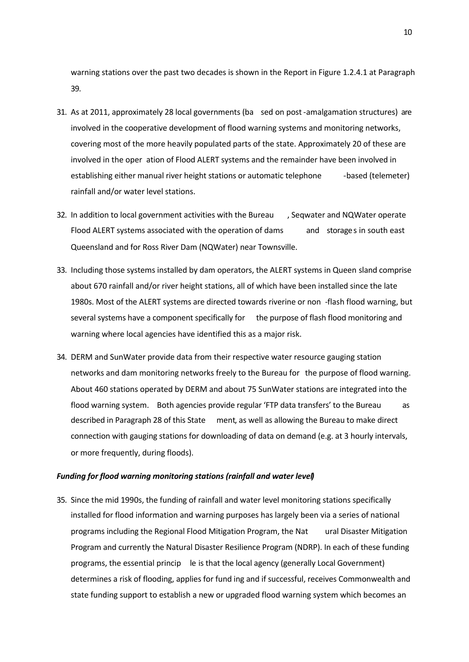warning stations over the past two decades is shown in the Report in Figure 1.2.4.1 at Paragraph 39.

- 31. As at 2011, approximately 28 local governments (ba sed on post-amalgamation structures) are involved in the cooperative development of flood warning systems and monitoring networks, covering most of the more heavily populated parts of the state. Approximately 20 of these are involved in the oper ation of Flood ALERT systems and the remainder have been involved in establishing either manual river height stations or automatic telephone - based (telemeter) rainfall and/or water level stations.
- 32. In addition to local government activities with the Bureau , Seqwater and NQWater operate Flood ALERT systems associated with the operation of dams and storages in south east Queensland and for Ross River Dam (NQWater) near Townsville.
- 33. Including those systems installed by dam operators, the ALERT systems in Queen sland comprise about 670 rainfall and/or river height stations, all of which have been installed since the late 1980s. Most of the ALERT systems are directed towards riverine or non -flash flood warning, but several systems have a component specifically for the purpose of flash flood monitoring and warning where local agencies have identified this as a major risk.
- 34. DERM and SunWater provide data from their respective water resource gauging station networks and dam monitoring networks freely to the Bureau for the purpose of flood warning. About 460 stations operated by DERM and about 75 SunWater stations are integrated into the flood warning system. Both agencies provide regular 'FTP data transfers' to the Bureau as described in Paragraph 28 of this State ment, as well as allowing the Bureau to make direct connection with gauging stations for downloading of data on demand (e.g. at 3 hourly intervals, or more frequently, during floods).

#### *Funding for flood warning monitoring stations (rainfall and water level)*

35. Since the mid 1990s, the funding of rainfall and water level monitoring stations specifically installed for flood information and warning purposes has largely been via a series of national programs including the Regional Flood Mitigation Program, the Nat ural Disaster Mitigation Program and currently the Natural Disaster Resilience Program (NDRP). In each of these funding programs, the essential princip le is that the local agency (generally Local Government) determines a risk of flooding, applies for fund ing and if successful, receives Commonwealth and state funding support to establish a new or upgraded flood warning system which becomes an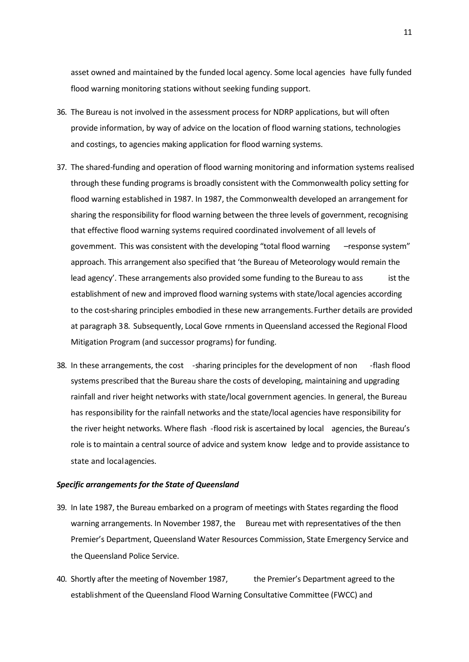asset owned and maintained by the funded local agency. Some local agencies have fully funded flood warning monitoring stations without seeking funding support.

- 36. The Bureau is not involved in the assessment process for NDRP applications, but will often provide information, by way of advice on the location of flood warning stations, technologies and costings, to agencies making application for flood warning systems.
- 37. The shared-funding and operation of flood warning monitoring and information systems realised through these funding programs is broadly consistent with the Commonwealth policy setting for flood warning established in 1987. In 1987, the Commonwealth developed an arrangement for sharing the responsibility for flood warning between the three levels of government, recognising that effective flood warning systems required coordinated involvement of all levels of govemment. This was consistent with the developing "total flood warning – response system" approach. This arrangement also specified that 'the Bureau of Meteorology would remain the lead agency'. These arrangements also provided some funding to the Bureau to ass ist the establishment of new and improved flood warning systems with state/local agencies according to the cost-sharing principles embodied in these new arrangements. Further details are provided at paragraph 38. Subsequently, Local Gove rnments in Queensland accessed the Regional Flood Mitigation Program (and successor programs) for funding.
- 38. In these arrangements, the cost -sharing principles for the development of non -flash flood systems prescribed that the Bureau share the costs of developing, maintaining and upgrading rainfall and river height networks with state/local government agencies. In general, the Bureau has responsibility for the rainfall networks and the state/local agencies have responsibility for the river height networks. Where flash -flood risk is ascertained by local agencies, the Bureau's role is to maintain a central source of advice and system know ledge and to provide assistance to state and local agencies.

## *Specific arrangements for the State of Queensland*

- 39. In late 1987, the Bureau embarked on a program of meetings with States regarding the flood warning arrangements. In November 1987, the Bureau met with representatives of the then Premier's Department, Queensland Water Resources Commission, State Emergency Service and the Queensland Police Service.
- 40. Shortly after the meeting of November 1987, the Premier's Department agreed to the establishment of the Queensland Flood Warning Consultative Committee (FWCC) and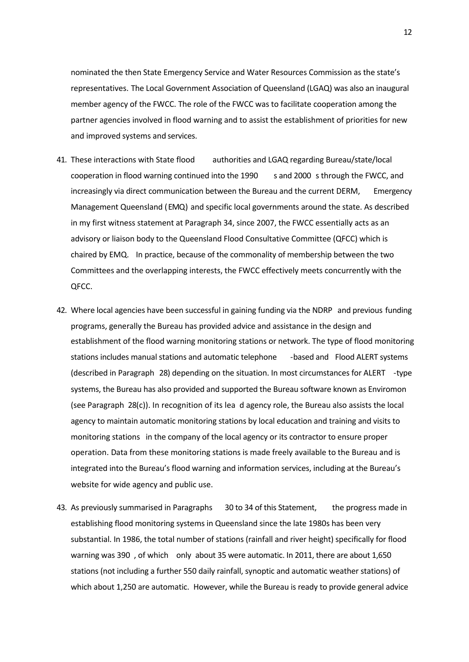nominated the then State Emergency Service and Water Resources Commission as the state's representatives. The Local Government Association of Queensland (LGAQ) was also an inaugural member agency of the FWCC. The role of the FWCC was to facilitate cooperation among the partner agencies involved in flood warning and to assist the establishment of priorities for new and improved systems and services.

- 41. These interactions with State flood authorities and LGAQ regarding Bureau/state/local cooperation in flood warning continued into the 1990 s and 2000 s through the FWCC, and increasingly via direct communication between the Bureau and the current DERM, Emergency Management Queensland (EMQ) and specific local governments around the state. As described in my first witness statement at Paragraph 34, since 2007, the FWCC essentially acts as an advisory or liaison body to the Queensland Flood Consultative Committee (QFCC) which is chaired by EMQ. In practice, because of the commonality of membership between the two Committees and the overlapping interests, the FWCC effectively meets concurrently with the QFCC.
- 42. Where local agencies have been successful in gaining funding via the NDRP and previous funding programs, generally the Bureau has provided advice and assistance in the design and establishment of the flood warning monitoring stations or network. The type of flood monitoring stations includes manual stations and automatic telephone -based and Flood ALERT systems (described in Paragraph 28) depending on the situation. In most circumstances for ALERT -type systems, the Bureau has also provided and supported the Bureau software known as Enviromon (see Paragraph 28(c)). In recognition of its lea d agency role, the Bureau also assists the local agency to maintain automatic monitoring stations by local education and training and visits to monitoring stations in the company of the local agency or its contractor to ensure proper operation. Data from these monitoring stations is made freely available to the Bureau and is integrated into the Bureau's flood warning and information services, including at the Bureau's website for wide agency and public use.
- 43. As previously summarised in Paragraphs 30 to 34 of this Statement, the progress made in establishing flood monitoring systems in Queensland since the late 1980s has been very substantial. In 1986, the total number of stations (rainfall and river height) specifically for flood warning was 390 , of which only about 35 were automatic. In 2011, there are about 1,650 stations (not including a further 550 daily rainfall, synoptic and automatic weather stations) of which about 1,250 are automatic. However, while the Bureau is ready to provide general advice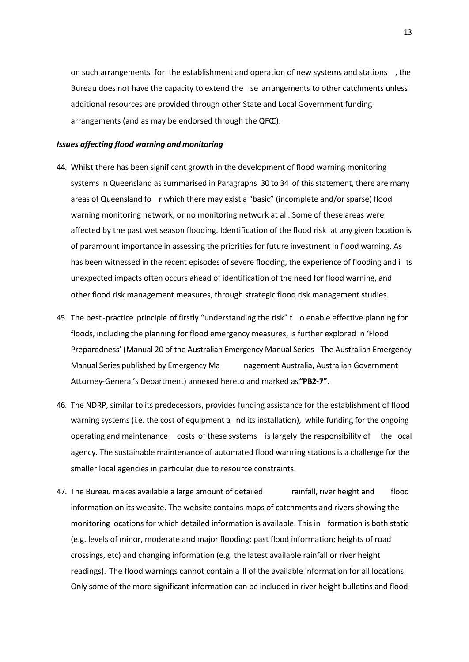on such arrangements for the establishment and operation of new systems and stations , the Bureau does not have the capacity to extend the se arrangements to other catchments unless additional resources are provided through other State and Local Government funding arrangements (and as may be endorsed through the QFC).

#### *Issues affecting flood warning and monitoring*

- 44. Whilst there has been significant growth in the development of flood warning monitoring systems in Queensland as summarised in Paragraphs 30 to 34 of this statement, there are many areas of Queensland fo r which there may exist a "basic" (incomplete and/or sparse) flood warning monitoring network, or no monitoring network at all. Some of these areas were affected by the past wet season flooding. Identification of the flood risk at any given location is of paramount importance in assessing the priorities for future investment in flood warning. As has been witnessed in the recent episodes of severe flooding, the experience of flooding and i ts unexpected impacts often occurs ahead of identification of the need for flood warning, and other flood risk management measures, through strategic flood risk management studies.
- 45. The best-practice principle of firstly "understanding the risk" t o enable effective planning for floods, including the planning for flood emergency measures, is further explored in 'Flood Preparedness' (Manual 20 of the Australian Emergency Manual Series The Australian Emergency Manual Series published by Emergency Ma nagement Australia, Australian Government Attorney-General's Department) annexed hereto and marked as **"PB2-7"**.
- 46. The NDRP, similar to its predecessors, provides funding assistance for the establishment of flood warning systems (i.e. the cost of equipment a nd its installation), while funding for the ongoing operating and maintenance costs of these systems is largely the responsibility of the local agency. The sustainable maintenance of automated flood warn ing stations is a challenge for the smaller local agencies in particular due to resource constraints.
- 47. The Bureau makes available a large amount of detailed rainfall, river height and flood information on its website. The website contains maps of catchments and rivers showing the monitoring locations for which detailed information is available. This in formation is both static (e.g. levels of minor, moderate and major flooding; past flood information; heights of road crossings, etc) and changing information (e.g. the latest available rainfall or river height readings). The flood warnings cannot contain a ll of the available information for all locations. Only some of the more significant information can be included in river height bulletins and flood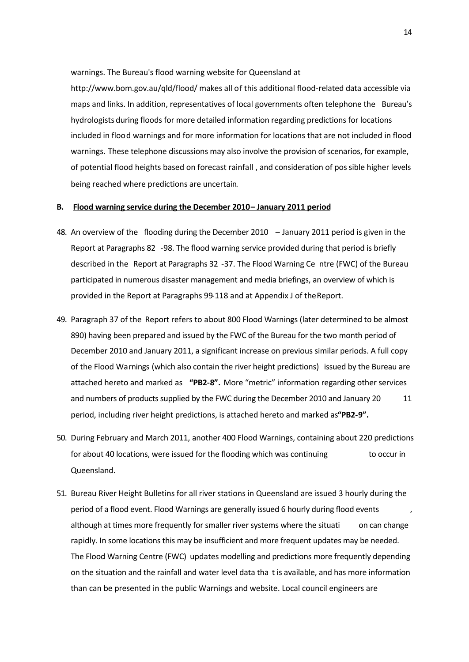warnings. The Bureau's flood warning website for Queensland at

http://www.bom.gov.au/qld/flood/ makes all of this additional flood-related data accessible via maps and links. In addition, representatives of local governments often telephone the Bureau's hydrologists during floods for more detailed information regarding predictions for locations included in flood warnings and for more information for locations that are not included in flood warnings. These telephone discussions may also involve the provision of scenarios, for example, of potential flood heights based on forecast rainfall , and consideration of possible higher levels being reached where predictions are uncertain.

## **B. Flood warning service during the December 2010 – January 2011 period**

- 48. An overview of the flooding during the December 2010 January 2011 period is given in the Report at Paragraphs 82 -98. The flood warning service provided during that period is briefly described in the Report at Paragraphs 32 -37. The Flood Warning Ce ntre (FWC) of the Bureau participated in numerous disaster management and media briefings, an overview of which is provided in the Report at Paragraphs 99-118 and at Appendix J of the Report.
- 49. Paragraph 37 of the Report refers to about 800 Flood Warnings (later determined to be almost 890) having been prepared and issued by the FWC of the Bureau for the two month period of December 2010 and January 2011, a significant increase on previous similar periods. A full copy of the Flood Warnings (which also contain the river height predictions) issued by the Bureau are attached hereto and marked as **"PB2-8".** More "metric" information regarding other services and numbers of products supplied by the FWC during the December 2010 and January 20 11 period, including river height predictions, is attached hereto and marked as **"PB2-9".**
- 50. During February and March 2011, another 400 Flood Warnings, containing about 220 predictions for about 40 locations, were issued for the flooding which was continuing to occur in Queensland.
- 51. Bureau River Height Bulletins for all river stations in Queensland are issued 3 hourly during the period of a flood event. Flood Warnings are generally issued 6 hourly during flood events , although at times more frequently for smaller river systems where the situati on can change rapidly. In some locations this may be insufficient and more frequent updates may be needed. The Flood Warning Centre (FWC) updates modelling and predictions more frequently depending on the situation and the rainfall and water level data tha t is available, and has more information than can be presented in the public Warnings and website. Local council engineers are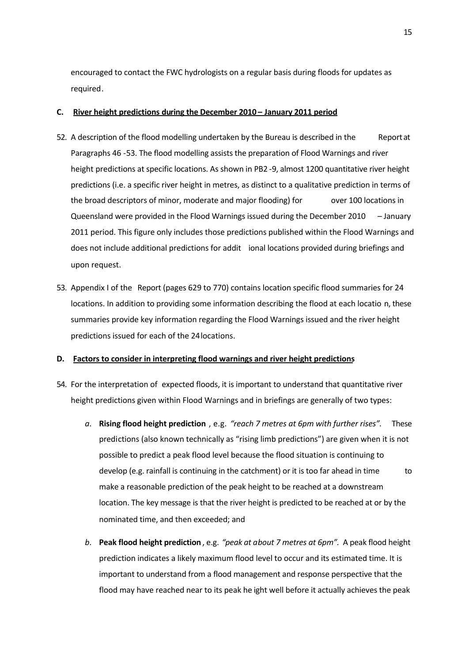encouraged to contact the FWC hydrologists on a regular basis during floods for updates as required.

## **C. River height predictions during the December 2010 – January 2011 period**

- 52. A description of the flood modelling undertaken by the Bureau is described in the Report at Paragraphs 46 -53. The flood modelling assists the preparation of Flood Warnings and river height predictions at specific locations. As shown in PB2 -9, almost 1200 quantitative river height predictions (i.e. a specific river height in metres, as distinct to a qualitative prediction in terms of the broad descriptors of minor, moderate and major flooding) for over 100 locations in Queensland were provided in the Flood Warnings issued during the December 2010 – January 2011 period. This figure only includes those predictions published within the Flood Warnings and does not include additional predictions for addit ional locations provided during briefings and upon request.
- 53. Appendix I of the Report (pages 629 to 770) contains location specific flood summaries for 24 locations. In addition to providing some information describing the flood at each locatio n, these summaries provide key information regarding the Flood Warnings issued and the river height predictions issued for each of the 24 locations.

### **D. Factors to consider in interpreting flood warnings and river height predictions**

- 54. For the interpretation of expected floods, it is important to understand that quantitative river height predictions given within Flood Warnings and in briefings are generally of two types:
	- *a.* **Rising flood height prediction** , e.g. *"reach 7 metres at 6pm with further rises".* These predictions (also known technically as "rising limb predictions") are given when it is not possible to predict a peak flood level because the flood situation is continuing to develop (e.g. rainfall is continuing in the catchment) or it is too far ahead in time to make a reasonable prediction of the peak height to be reached at a downstream location. The key message is that the river height is predicted to be reached at or by the nominated time, and then exceeded; and
	- *b.* **Peak flood height prediction** , e.g. *"peak at about 7 metres at 6pm".* A peak flood height prediction indicates a likely maximum flood level to occur and its estimated time. It is important to understand from a flood management and response perspective that the flood may have reached near to its peak he ight well before it actually achieves the peak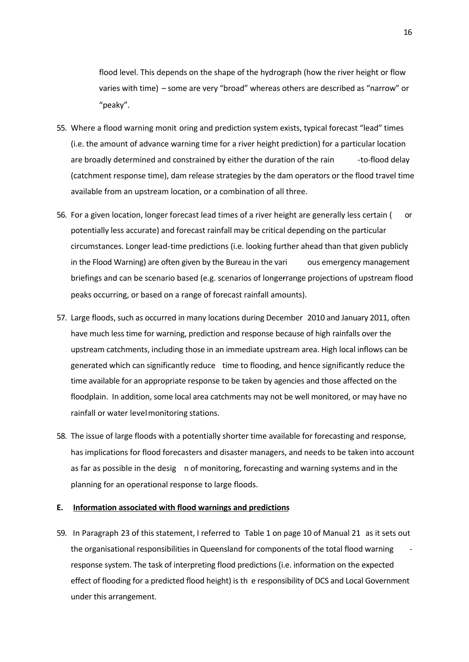flood level. This depends on the shape of the hydrograph (how the river height or flow varies with time) – some are very "broad" whereas others are described as "narrow" or "peaky".

- 55. Where a flood warning monit oring and prediction system exists, typical forecast "lead" times (i.e. the amount of advance warning time for a river height prediction) for a particular location are broadly determined and constrained by either the duration of the rain -to-flood delay (catchment response time), dam release strategies by the dam operators or the flood travel time available from an upstream location, or a combination of all three.
- 56. For a given location, longer forecast lead times of a river height are generally less certain ( or potentially less accurate) and forecast rainfall may be critical depending on the particular circumstances. Longer lead-time predictions (i.e. looking further ahead than that given publicly in the Flood Warning) are often given by the Bureau in the vari ous emergency management briefings and can be scenario based (e.g. scenarios of longerrange projections of upstream flood peaks occurring, or based on a range of forecast rainfall amounts).
- 57. Large floods, such as occurred in many locations during December 2010 and January 2011, often have much less time for warning, prediction and response because of high rainfalls over the upstream catchments, including those in an immediate upstream area. High local inflows can be generated which can significantly reduce time to flooding, and hence significantly reduce the time available for an appropriate response to be taken by agencies and those affected on the floodplain. In addition, some local area catchments may not be well monitored, or may have no rainfall or water level monitoring stations.
- 58. The issue of large floods with a potentially shorter time available for forecasting and response, has implications for flood forecasters and disaster managers, and needs to be taken into account as far as possible in the desig n of monitoring, forecasting and warning systems and in the planning for an operational response to large floods.

## **E. Information associated with flood warnings and predictions**

59. In Paragraph 23 of this statement, I referred to Table 1 on page 10 of Manual 21 as it sets out the organisational responsibilities in Queensland for components of the total flood warning response system. The task of interpreting flood predictions (i.e. information on the expected effect of flooding for a predicted flood height) is th e responsibility of DCS and Local Government under this arrangement.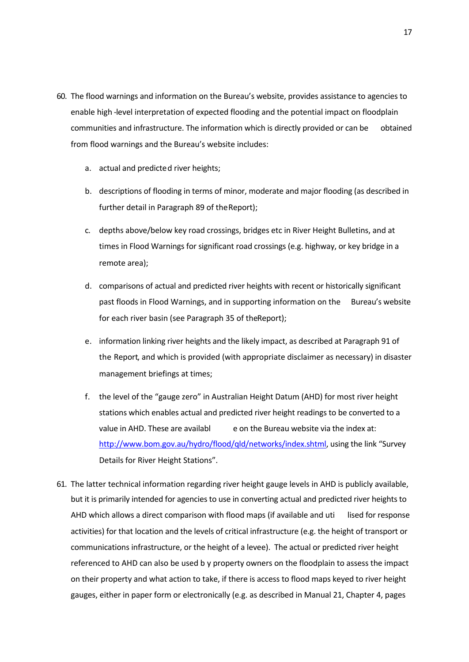- 60. The flood warnings and information on the Bureau's website, provides assistance to agencies to enable high -level interpretation of expected flooding and the potential impact on floodplain communities and infrastructure. The information which is directly provided or can be obtained from flood warnings and the Bureau's website includes:
	- a. actual and predicted river heights;
	- b. descriptions of flooding in terms of minor, moderate and major flooding (as described in further detail in Paragraph 89 of the Report);
	- c. depths above/below key road crossings, bridges etc in River Height Bulletins, and at times in Flood Warnings for significant road crossings (e.g. highway, or key bridge in a remote area);
	- d. comparisons of actual and predicted river heights with recent or historically significant past floods in Flood Warnings, and in supporting information on the Bureau's website for each river basin (see Paragraph 35 of the Report);
	- e. information linking river heights and the likely impact, as described at Paragraph 91 of the Report, and which is provided (with appropriate disclaimer as necessary) in disaster management briefings at times;
	- f. the level of the "gauge zero" in Australian Height Datum (AHD) for most river height stations which enables actual and predicted river height readings to be converted to a value in AHD. These are availabl e on the Bureau website via the index at: http://www.bom.gov.au/hydro/flood/qld/networks/index.shtml, using the link "Survey Details for River Height Stations".
- 61. The latter technical information regarding river height gauge levels in AHD is publicly available, but it is primarily intended for agencies to use in converting actual and predicted river heights to AHD which allows a direct comparison with flood maps (if available and uti lised for response activities) for that location and the levels of critical infrastructure (e.g. the height of transport or communications infrastructure, or the height of a levee). The actual or predicted river height referenced to AHD can also be used b y property owners on the floodplain to assess the impact on their property and what action to take, if there is access to flood maps keyed to river height gauges, either in paper form or electronically (e.g. as described in Manual 21, Chapter 4, pages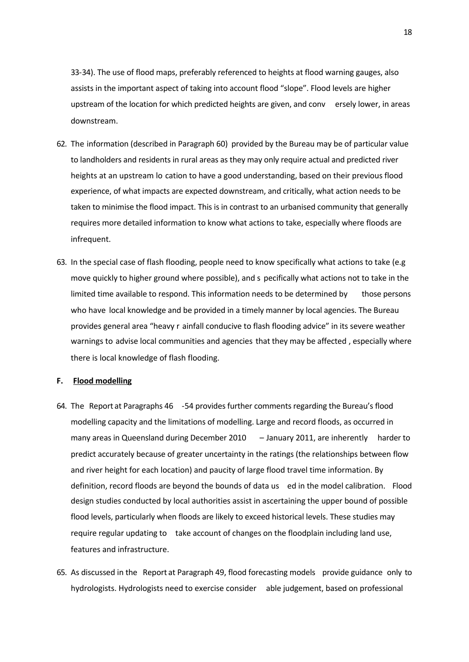33-34). The use of flood maps, preferably referenced to heights at flood warning gauges, also assists in the important aspect of taking into account flood "slope". Flood levels are higher upstream of the location for which predicted heights are given, and conv ersely lower, in areas downstream.

- 62. The information (described in Paragraph 60) provided by the Bureau may be of particular value to landholders and residents in rural areas as they may only require actual and predicted river heights at an upstream lo cation to have a good understanding, based on their previous flood experience, of what impacts are expected downstream, and critically, what action needs to be taken to minimise the flood impact. This is in contrast to an urbanised community that generally requires more detailed information to know what actions to take, especially where floods are infrequent.
- 63. In the special case of flash flooding, people need to know specifically what actions to take (e.g move quickly to higher ground where possible), and s pecifically what actions not to take in the limited time available to respond. This information needs to be determined by those persons who have local knowledge and be provided in a timely manner by local agencies. The Bureau provides general area "heavy r ainfall conducive to flash flooding advice" in its severe weather warnings to advise local communities and agencies that they may be affected, especially where there is local knowledge of flash flooding.

#### **F. Flood modelling**

- 64. The Report at Paragraphs 46 -54 provides further comments regarding the Bureau's flood modelling capacity and the limitations of modelling. Large and record floods, as occurred in many areas in Queensland during December 2010 – January 2011, are inherently harder to predict accurately because of greater uncertainty in the ratings (the relationships between flow and river height for each location) and paucity of large flood travel time information. By definition, record floods are beyond the bounds of data us ed in the model calibration. Flood design studies conducted by local authorities assist in ascertaining the upper bound of possible flood levels, particularly when floods are likely to exceed historical levels. These studies may require regular updating to take account of changes on the floodplain including land use, features and infrastructure.
- 65. As discussed in the Report at Paragraph 49, flood forecasting models provide guidance only to hydrologists. Hydrologists need to exercise consider able judgement, based on professional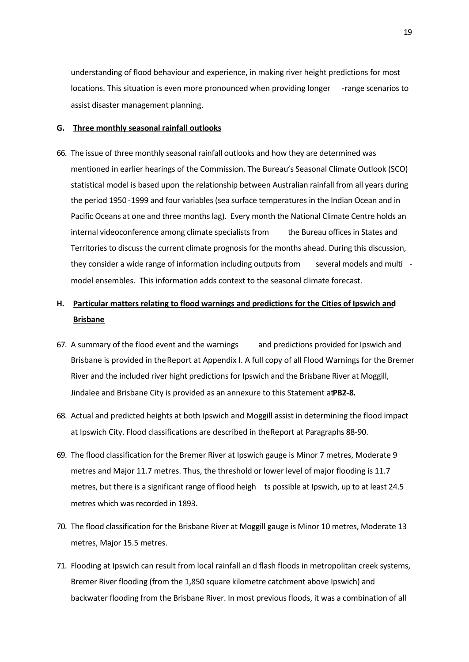understanding of flood behaviour and experience, in making river height predictions for most locations. This situation is even more pronounced when providing longer - range scenarios to assist disaster management planning.

#### **G. Three monthly seasonal rainfall outlooks**

66. The issue of three monthly seasonal rainfall outlooks and how they are determined was mentioned in earlier hearings of the Commission. The Bureau's Seasonal Climate Outlook (SCO) statistical model is based upon the relationship between Australian rainfall from all years during the period 1950 -1999 and four variables (sea surface temperatures in the Indian Ocean and in Pacific Oceans at one and three months lag). Every month the National Climate Centre holds an internal videoconference among climate specialists from the Bureau offices in States and Territories to discuss the current climate prognosis for the months ahead. During this discussion, they consider a wide range of information including outputs from several models and multi model ensembles. This information adds context to the seasonal climate forecast.

# **H. Particular matters relating to flood warnings and predictions for the Cities of Ipswich and Brisbane**

- 67. A summary of the flood event and the warnings and predictions provided for Ipswich and Brisbane is provided in the Report at Appendix I. A full copy of all Flood Warnings for the Bremer River and the included river hight predictions for Ipswich and the Brisbane River at Moggill, Jindalee and Brisbane City is provided as an annexure to this Statement at PB2-8.
- 68. Actual and predicted heights at both Ipswich and Moggill assist in determining the flood impact at Ipswich City. Flood classifications are described in the Report at Paragraphs 88-90.
- 69. The flood classification for the Bremer River at Ipswich gauge is Minor 7 metres, Moderate 9 metres and Major 11.7 metres. Thus, the threshold or lower level of major flooding is 11.7 metres, but there is a significant range of flood heigh ts possible at Ipswich, up to at least 24.5 metres which was recorded in 1893.
- 70. The flood classification for the Brisbane River at Moggill gauge is Minor 10 metres, Moderate 13 metres, Major 15.5 metres.
- 71. Flooding at Ipswich can result from local rainfall an d flash floods in metropolitan creek systems, Bremer River flooding (from the 1,850 square kilometre catchment above Ipswich) and backwater flooding from the Brisbane River. In most previous floods, it was a combination of all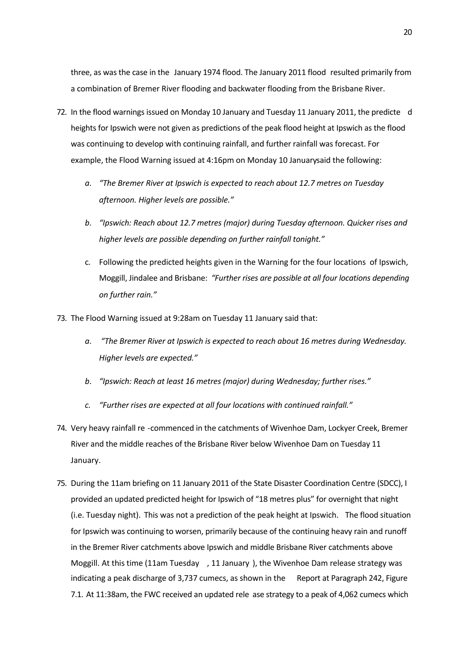three, as was the case in the January 1974 flood. The January 2011 flood resulted primarily from a combination of Bremer River flooding and backwater flooding from the Brisbane River.

- 72. In the flood warnings issued on Monday 10 January and Tuesday 11 January 2011, the predicte d heights for Ipswich were not given as predictions of the peak flood height at Ipswich as the flood was continuing to develop with continuing rainfall, and further rainfall was forecast. For example, the Flood Warning issued at 4:16pm on Monday 10 January said the following:
	- *a. "The Bremer River at Ipswich is expected to reach about 12.7 metres on Tuesday afternoon. Higher levels are possible."*
	- *b. "Ipswich: Reach about 12.7 metres (major) during Tuesday afternoon. Quicker rises and higher levels are possible depending on further rainfall tonight."*
	- c. Following the predicted heights given in the Warning for the four locations of Ipswich, Moggill, Jindalee and Brisbane: *"Further rises are possible at all four locations depending on further rain."*
- 73. The Flood Warning issued at 9:28am on Tuesday 11 January said that:
	- *a. "The Bremer River at Ipswich is expected to reach about 16 metres during Wednesday. Higher levels are expected."*
	- *b. "Ipswich: Reach at least 16 metres (major) during Wednesday; further rises."*
	- *c. "Further rises are expected at all four locations with continued rainfall."*
- 74. Very heavy rainfall re -commenced in the catchments of Wivenhoe Dam, Lockyer Creek, Bremer River and the middle reaches of the Brisbane River below Wivenhoe Dam on Tuesday 11 January.
- 75. During the 11am briefing on 11 January 2011 of the State Disaster Coordination Centre (SDCC), I provided an updated predicted height for Ipswich of "18 metres plus" for overnight that night (i.e. Tuesday night). This was not a prediction of the peak height at Ipswich. The flood situation for Ipswich was continuing to worsen, primarily because of the continuing heavy rain and runoff in the Bremer River catchments above Ipswich and middle Brisbane River catchments above Moggill. At this time (11am Tuesday , 11 January ), the Wivenhoe Dam release strategy was indicating a peak discharge of 3,737 cumecs, as shown in the Report at Paragraph 242, Figure 7.1. At 11:38am, the FWC received an updated rele ase strategy to a peak of 4,062 cumecs which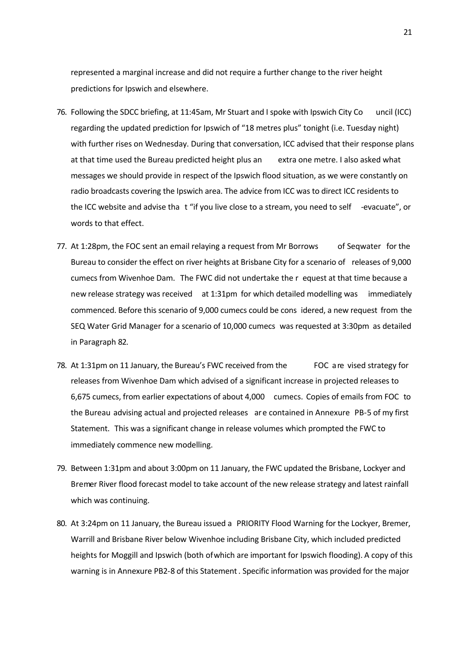represented a marginal increase and did not require a further change to the river height predictions for Ipswich and elsewhere.

- 76. Following the SDCC briefing, at 11:45am, Mr Stuart and I spoke with Ipswich City Co uncil (ICC) regarding the updated prediction for Ipswich of "18 metres plus" tonight (i.e. Tuesday night) with further rises on Wednesday. During that conversation, ICC advised that their response plans at that time used the Bureau predicted height plus an extra one metre. I also asked what messages we should provide in respect of the Ipswich flood situation, as we were constantly on radio broadcasts covering the Ipswich area. The advice from ICC was to direct ICC residents to the ICC website and advise tha t "if you live close to a stream, you need to self -evacuate", or words to that effect.
- 77. At 1:28pm, the FOC sent an email relaying a request from Mr Borrows of Seqwater for the Bureau to consider the effect on river heights at Brisbane City for a scenario of releases of 9,000 cumecs from Wivenhoe Dam. The FWC did not undertake the r equest at that time because a new release strategy was received at 1:31pm for which detailed modelling was immediately commenced. Before this scenario of 9,000 cumecs could be cons idered, a new request from the SEQ Water Grid Manager for a scenario of 10,000 cumecs was requested at 3:30pm as detailed in Paragraph 82.
- 78. At 1:31pm on 11 January, the Bureau's FWC received from the FOC a re vised strategy for releases from Wivenhoe Dam which advised of a significant increase in projected releases to 6,675 cumecs, from earlier expectations of about 4,000 cumecs. Copies of emails from FOC to the Bureau advising actual and projected releases are contained in Annexure PB-5 of my first Statement. This was a significant change in release volumes which prompted the FWC to immediately commence new modelling.
- 79. Between 1:31pm and about 3:00pm on 11 January, the FWC updated the Brisbane, Lockyer and Bremer River flood forecast model to take account of the new release strategy and latest rainfall which was continuing.
- 80. At 3:24pm on 11 January, the Bureau issued a PRIORITY Flood Warning for the Lockyer, Bremer, Warrill and Brisbane River below Wivenhoe including Brisbane City, which included predicted heights for Moggill and Ipswich (both of which are important for Ipswich flooding). A copy of this warning is in Annexure PB2-8 of this Statement. Specific information was provided for the major

21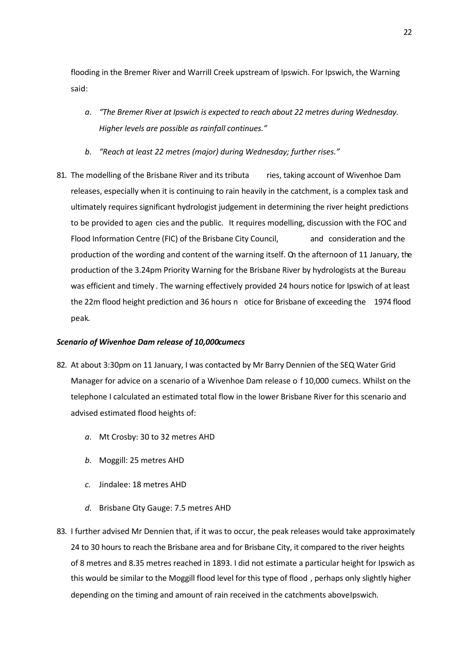flooding in the Bremer River and Warrill Creek upstream of Ipswich. For Ipswich, the Warning said:

- *a. "The Bremer River at Ipswich is expected to reach about 22 metres during Wednesday. Higher levels are possible as rainfall continues."*
- *b. "Reach at least 22 metres (major) during Wednesday; further rises."*
- 81. The modelling of the Brisbane River and its tributa ries, taking account of Wivenhoe Dam releases, especially when it is continuing to rain heavily in the catchment, is a complex task and ultimately requires significant hydrologist judgement in determining the river height predictions to be provided to agen cies and the public. It requires modelling, discussion with the FOC and Flood Information Centre (FIC) of the Brisbane City Council, and consideration and the production of the wording and content of the warning itself. On the afternoon of 11 January, the production of the 3.24pm Priority Warning for the Brisbane River by hydrologists at the Bureau was efficient and timely . The warning effectively provided 24 hours notice for Ipswich of at least the 22m flood height prediction and 36 hours n otice for Brisbane of exceeding the 1974 flood peak.

#### *Scenario of Wivenhoe Dam release of 10,000cumecs*

- 82. At about 3:30pm on 11 January, I was contacted by Mr Barry Dennien of the SEQ Water Grid Manager for advice on a scenario of a Wivenhoe Dam release o f 10,000 cumecs. Whilst on the telephone I calculated an estimated total flow in the lower Brisbane River for this scenario and advised estimated flood heights of:
	- *a.* Mt Crosby: 30 to 32 metres AHD
	- *b.* Moggill: 25 metres AHD
	- *c.* Jindalee: 18 metres AHD
	- *d.* Brisbane City Gauge: 7.5 metres AHD
- 83. I further advised Mr Dennien that, if it was to occur, the peak releases would take approximately 24 to 30 hours to reach the Brisbane area and for Brisbane City, it compared to the river heights of 8 metres and 8.35 metres reached in 1893. I did not estimate a particular height for Ipswich as this would be similar to the Moggill flood level for this type of flood , perhaps only slightly higher depending on the timing and amount of rain received in the catchments above Ipswich.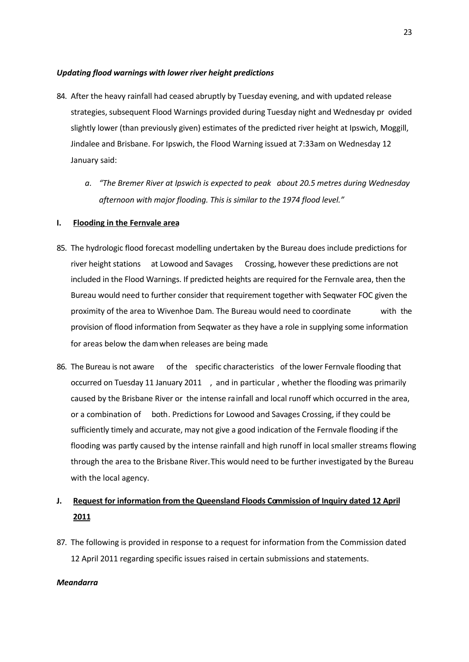## *Updating flood warnings with lower river height predictions*

- 84. After the heavy rainfall had ceased abruptly by Tuesday evening, and with updated release strategies, subsequent Flood Warnings provided during Tuesday night and Wednesday pr ovided slightly lower (than previously given) estimates of the predicted river height at Ipswich, Moggill, Jindalee and Brisbane. For Ipswich, the Flood Warning issued at 7:33am on Wednesday 12 January said:
	- *a. "The Bremer River at Ipswich is expected to peak about 20.5 metres during Wednesday afternoon with major flooding. This is similar to the 1974 flood level."*

## **I. Flooding in the Fernvale area**

- 85. The hydrologic flood forecast modelling undertaken by the Bureau does include predictions for river height stations at Lowood and Savages Crossing, however these predictions are not included in the Flood Warnings. If predicted heights are required for the Fernvale area, then the Bureau would need to further consider that requirement together with Seqwater FOC given the proximity of the area to Wivenhoe Dam. The Bureau would need to coordinate with the provision of flood information from Seqwater as they have a role in supplying some information for areas below the dam when releases are being made.
- 86. The Bureau is not aware of the specific characteristics of the lower Fernvale flooding that occurred on Tuesday 11 January 2011 , and in particular , whether the flooding was primarily caused by the Brisbane River or the intense rainfall and local runoff which occurred in the area, or a combination of both. Predictions for Lowood and Savages Crossing, if they could be sufficiently timely and accurate, may not give a good indication of the Fernvale flooding if the flooding was partly caused by the intense rainfall and high runoff in local smaller streams flowing through the area to the Brisbane River. This would need to be further investigated by the Bureau with the local agency.

# **J. Request for information from the Queensland Floods Commission of Inquiry dated 12 April 2011**

87. The following is provided in response to a request for information from the Commission dated 12 April 2011 regarding specific issues raised in certain submissions and statements.

#### *Meandarra*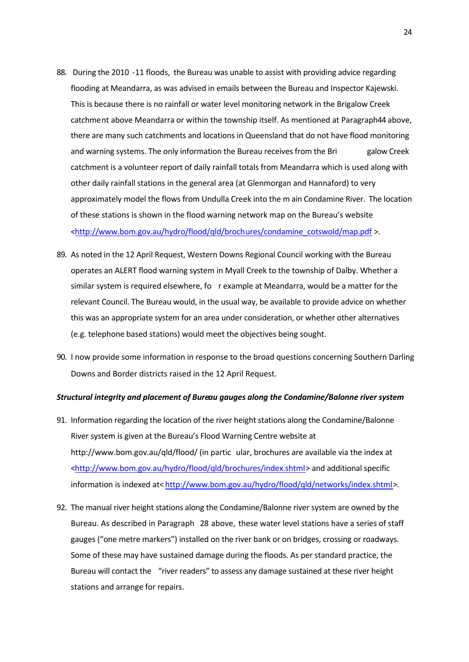- 88. During the 2010 -11 floods, the Bureau was unable to assist with providing advice regarding flooding at Meandarra, as was advised in emails between the Bureau and Inspector Kajewski. This is because there is no rainfall or water level monitoring network in the Brigalow Creek catchment above Meandarra or within the township itself. As mentioned at Paragraph 44 above, there are many such catchments and locations in Queensland that do not have flood monitoring and warning systems. The only information the Bureau receives from the Bri galow Creek catchment is a volunteer report of daily rainfall totals from Meandarra which is used along with other daily rainfall stations in the general area (at Glenmorgan and Hannaford) to very approximately model the flows from Undulla Creek into the m ain Condamine River. The location of these stations is shown in the flood warning network map on the Bureau's website <http://www.bom.gov.au/hydro/flood/qld/brochures/condamine\_cotswold/map.pdf >.
- 89. As noted in the 12 April Request, Western Downs Regional Council working with the Bureau operates an ALERT flood warning system in Myall Creek to the township of Dalby. Whether a similar system is required elsewhere, fo r example at Meandarra, would be a matter for the relevant Council. The Bureau would, in the usual way, be available to provide advice on whether this was an appropriate system for an area under consideration, or whether other alternatives (e.g. telephone based stations) would meet the objectives being sought.
- 90. I now provide some information in response to the broad questions concerning Southern Darling Downs and Border districts raised in the 12 April Request.

#### *Structural integrity and placement of Bureau gauges along the Condamine/Balonne river system*

- 91. Information regarding the location of the river height stations along the Condamine/Balonne River system is given at the Bureau's Flood Warning Centre website at http://www.bom.gov.au/qld/flood/ (in partic ular, brochures are available via the index at <http://www.bom.gov.au/hydro/flood/qld/brochures/index.shtml> and additional specific information is indexed at< http://www.bom.gov.au/hydro/flood/qld/networks/index.shtml>.
- 92. The manual river height stations along the Condamine/Balonne river system are owned by the Bureau. As described in Paragraph 28 above, these water level stations have a series of staff gauges ("one metre markers") installed on the river bank or on bridges, crossing or roadways. Some of these may have sustained damage during the floods. As per standard practice, the Bureau will contact the "river readers" to assess any damage sustained at these river height stations and arrange for repairs.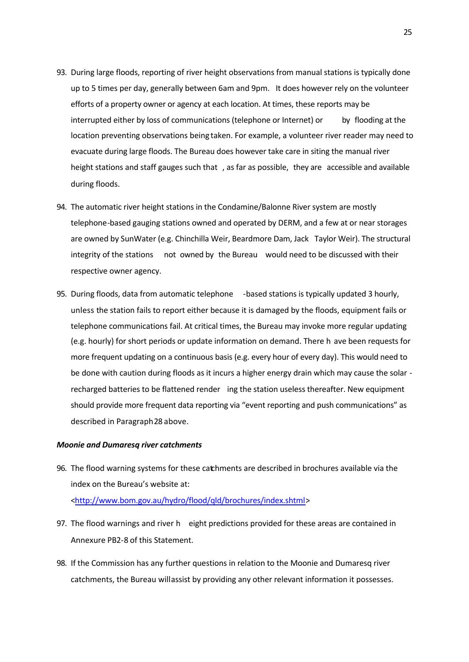- 93. During large floods, reporting of river height observations from manual stations is typically done up to 5 times per day, generally between 6am and 9pm. It does however rely on the volunteer efforts of a property owner or agency at each location. At times, these reports may be interrupted either by loss of communications (telephone or Internet) or by flooding at the location preventing observations being taken. For example, a volunteer river reader may need to evacuate during large floods. The Bureau does however take care in siting the manual river height stations and staff gauges such that , as far as possible, they are accessible and available during floods.
- 94. The automatic river height stations in the Condamine/Balonne River system are mostly telephone-based gauging stations owned and operated by DERM, and a few at or near storages are owned by SunWater (e.g. Chinchilla Weir, Beardmore Dam, Jack Taylor Weir). The structural integrity of the stations not owned by the Bureau would need to be discussed with their respective owner agency.
- 95. During floods, data from automatic telephone based stations is typically updated 3 hourly, unless the station fails to report either because it is damaged by the floods, equipment fails or telephone communications fail. At critical times, the Bureau may invoke more regular updating (e.g. hourly) for short periods or update information on demand. There h ave been requests for more frequent updating on a continuous basis (e.g. every hour of every day). This would need to be done with caution during floods as it incurs a higher energy drain which may cause the solar recharged batteries to be flattened render ing the station useless thereafter. New equipment should provide more frequent data reporting via "event reporting and push communications" as described in Paragraph 28 above.

#### *Moonie and Dumaresq river catchments*

- 96. The flood warning systems for these catchments are described in brochures available via the index on the Bureau's website at: <http://www.bom.gov.au/hydro/flood/qld/brochures/index.shtml>
- 97. The flood warnings and river h eight predictions provided for these areas are contained in Annexure PB2-8 of this Statement.
- 98. If the Commission has any further questions in relation to the Moonie and Dumaresq river catchments, the Bureau will assist by providing any other relevant information it possesses.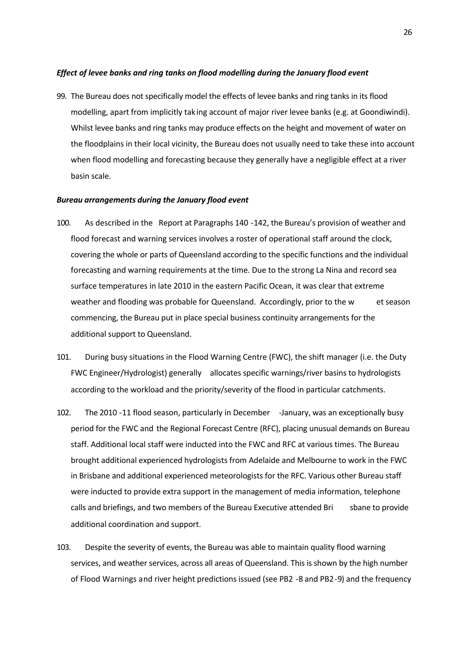### *Effect of levee banks and ring tanks on flood modelling during the January flood event*

99. The Bureau does not specifically model the effects of levee banks and ring tanks in its flood modelling, apart from implicitly tak ing account of major river levee banks (e.g. at Goondiwindi). Whilst levee banks and ring tanks may produce effects on the height and movement of water on the floodplains in their local vicinity, the Bureau does not usually need to take these into account when flood modelling and forecasting because they generally have a negligible effect at a river basin scale.

#### *Bureau arrangements during the January flood event*

- 100. As described in the Report at Paragraphs 140 -142, the Bureau's provision of weather and flood forecast and warning services involves a roster of operational staff around the clock, covering the whole or parts of Queensland according to the specific functions and the individual forecasting and warning requirements at the time. Due to the strong La Nina and record sea surface temperatures in late 2010 in the eastern Pacific Ocean, it was clear that extreme weather and flooding was probable for Queensland. Accordingly, prior to the w et season commencing, the Bureau put in place special business continuity arrangements for the additional support to Queensland.
- 101. During busy situations in the Flood Warning Centre (FWC), the shift manager (i.e. the Duty FWC Engineer/Hydrologist) generally allocates specific warnings/river basins to hydrologists according to the workload and the priority/severity of the flood in particular catchments.
- 102. The 2010 -11 flood season, particularly in December -January, was an exceptionally busy period for the FWC and the Regional Forecast Centre (RFC), placing unusual demands on Bureau staff. Additional local staff were inducted into the FWC and RFC at various times. The Bureau brought additional experienced hydrologists from Adelaide and Melbourne to work in the FWC in Brisbane and additional experienced meteorologists for the RFC. Various other Bureau staff were inducted to provide extra support in the management of media information, telephone calls and briefings, and two members of the Bureau Executive attended Bri sbane to provide additional coordination and support.
- 103. Despite the severity of events, the Bureau was able to maintain quality flood warning services, and weather services, across all areas of Queensland. This is shown by the high number of Flood Warnings and river height predictions issued (see PB2 -8 and PB2-9) and the frequency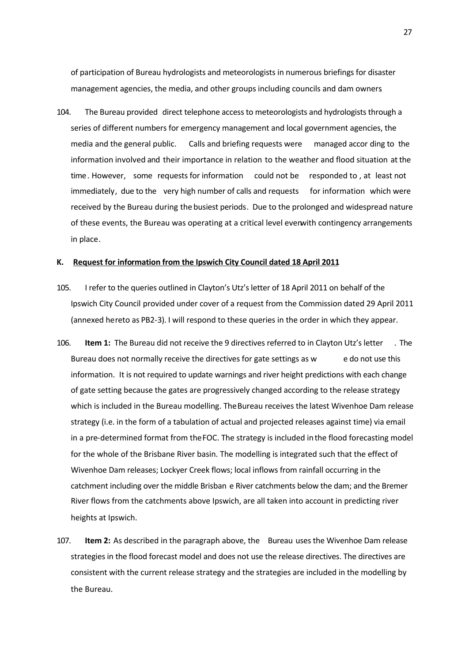of participation of Bureau hydrologists and meteorologists in numerous briefings for disaster management agencies, the media, and other groups including councils and dam owners.

104. The Bureau provided direct telephone access to meteorologists and hydrologists through a series of different numbers for emergency management and local government agencies, the media and the general public. Calls and briefing requests were managed accor ding to the information involved and their importance in relation to the weather and flood situation at the time. However, some requests for information could not be responded to , at least not immediately, due to the very high number of calls and requests for information which were received by the Bureau during the busiest periods. Due to the prolonged and widespread nature of these events, the Bureau was operating at a critical level even with contingency arrangements in place.

#### **K. Request for information from the Ipswich City Council dated 18 April 2011**

- 105. I refer to the queries outlined in Clayton's Utz's letter of 18 April 2011 on behalf of the Ipswich City Council provided under cover of a request from the Commission dated 29 April 2011 (annexed hereto as PB2-3). I will respond to these queries in the order in which they appear.
- 106. **Item 1:** The Bureau did not receive the 9 directives referred to in Clayton Utz's letter . The Bureau does not normally receive the directives for gate settings as w edo not use this information. It is not required to update warnings and river height predictions with each change of gate setting because the gates are progressively changed according to the release strategy which is included in the Bureau modelling. The Bureau receives the latest Wivenhoe Dam release strategy (i.e. in the form of a tabulation of actual and projected releases against time) via email in a pre-determined format from the FOC. The strategy is included in the flood forecasting model for the whole of the Brisbane River basin. The modelling is integrated such that the effect of Wivenhoe Dam releases; Lockyer Creek flows; local inflows from rainfall occurring in the catchment including over the middle Brisban e River catchments below the dam; and the Bremer River flows from the catchments above Ipswich, are all taken into account in predicting river heights at Ipswich.
- 107. **Item 2:** As described in the paragraph above, the Bureau uses the Wivenhoe Dam release strategies in the flood forecast model and does not use the release directives. The directives are consistent with the current release strategy and the strategies are included in the modelling by the Bureau.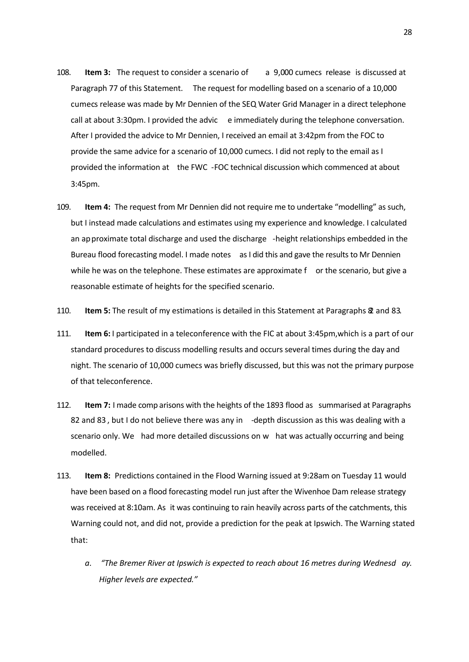- 108. **Item 3:** The request to consider a scenario of a 9,000 cumecs release is discussed at Paragraph 77 of this Statement. The request for modelling based on a scenario of a 10,000 cumecs release was made by Mr Dennien of the SEQ Water Grid Manager in a direct telephone call at about 3:30pm. I provided the advic e immediately during the telephone conversation. After I provided the advice to Mr Dennien, I received an email at 3:42pm from the FOC to provide the same advice for a scenario of 10,000 cumecs. I did not reply to the email as I provided the information at the FWC -FOC technical discussion which commenced at about 3:45pm.
- 109. **Item 4:** The request from Mr Dennien did not require me to undertake "modelling" as such, but I instead made calculations and estimates using my experience and knowledge. I calculated an approximate total discharge and used the discharge -height relationships embedded in the Bureau flood forecasting model. I made notes as I did this and gave the results to Mr Dennien while he was on the telephone. These estimates are approximate f or the scenario, but give a reasonable estimate of heights for the specified scenario.
- 110. **Item 5:** The result of my estimations is detailed in this Statement at Paragraphs 82 and 83.
- 111. **Item 6:** I participated in a teleconference with the FIC at about 3:45pm, which is a part of our standard procedures to discuss modelling results and occurs several times during the day and night. The scenario of 10,000 cumecs was briefly discussed, but this was not the primary purpose of that teleconference.
- 112. **Item 7:** I made comp arisons with the heights of the 1893 flood as summarised at Paragraphs 82 and 83 , but I do not believe there was any in -depth discussion as this was dealing with a scenario only. We had more detailed discussions on w hat was actually occurring and being modelled.
- 113. **Item 8:** Predictions contained in the Flood Warning issued at 9:28am on Tuesday 11 would have been based on a flood forecasting model run just after the Wivenhoe Dam release strategy was received at 8:10am. As it was continuing to rain heavily across parts of the catchments, this Warning could not, and did not, provide a prediction for the peak at Ipswich. The Warning stated that:
	- *a. "The Bremer River at Ipswich is expected to reach about 16 metres during Wednesd ay. Higher levels are expected."*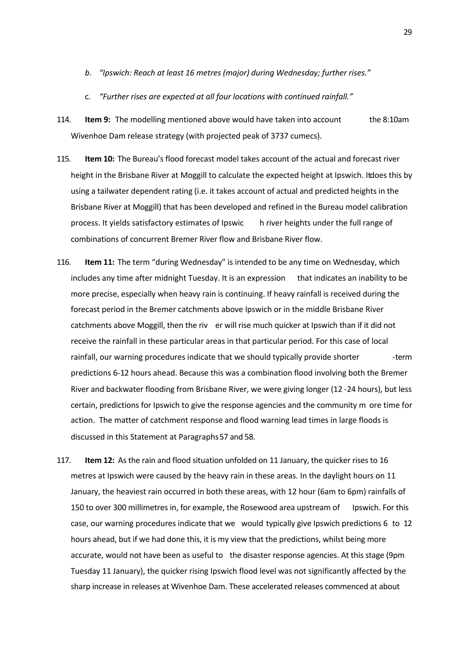- *b. "Ipswich: Reach at least 16 metres (major) during Wednesday; further rises."*
- c. *"Further rises are expected at all four locations with continued rainfall."*
- 114. **Item 9:** The modelling mentioned above would have taken into account the 8:10am Wivenhoe Dam release strategy (with projected peak of 3737 cumecs).
- 115. **Item 10:** The Bureau's flood forecast model takes account of the actual and forecast river height in the Brisbane River at Moggill to calculate the expected height at Ipswich. It does this by using a tailwater dependent rating (i.e. it takes account of actual and predicted heights in the Brisbane River at Moggill) that has been developed and refined in the Bureau model calibration process. It yields satisfactory estimates of Ipswic h river heights under the full range of combinations of concurrent Bremer River flow and Brisbane River flow.
- 116. **Item 11:** The term "during Wednesday" is intended to be any time on Wednesday, which includes any time after midnight Tuesday. It is an expression that indicates an inability to be more precise, especially when heavy rain is continuing. If heavy rainfall is received during the forecast period in the Bremer catchments above Ipswich or in the middle Brisbane River catchments above Moggill, then the riv er will rise much quicker at Ipswich than if it did not receive the rainfall in these particular areas in that particular period. For this case of local rainfall, our warning procedures indicate that we should typically provide shorter ----------------predictions 6-12 hours ahead. Because this was a combination flood involving both the Bremer River and backwater flooding from Brisbane River, we were giving longer (12 -24 hours), but less certain, predictions for Ipswich to give the response agencies and the community m ore time for action. The matter of catchment response and flood warning lead times in large floods is discussed in this Statement at Paragraphs 57 and 58.
- 117. **Item 12:** As the rain and flood situation unfolded on 11 January, the quicker rises to 16 metres at Ipswich were caused by the heavy rain in these areas. In the daylight hours on 11 January, the heaviest rain occurred in both these areas, with 12 hour (6am to 6pm) rainfalls of 150 to over 300 millimetres in, for example, the Rosewood area upstream of Ipswich. For this case, our warning procedures indicate that we would typically give Ipswich predictions 6 to 12 hours ahead, but if we had done this, it is my view that the predictions, whilst being more accurate, would not have been as useful to the disaster response agencies. At this stage (9pm Tuesday 11 January), the quicker rising Ipswich flood level was not significantly affected by the sharp increase in releases at Wivenhoe Dam. These accelerated releases commenced at about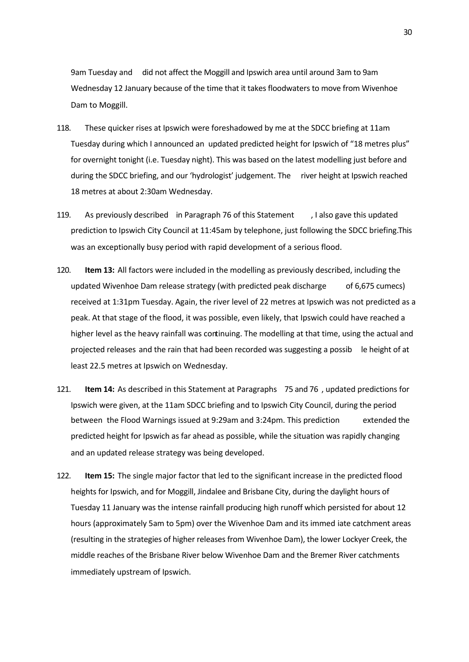9am Tuesday and did not affect the Moggill and Ipswich area until around 3am to 9am Wednesday 12 January because of the time that it takes floodwaters to move from Wivenhoe Dam to Moggill.

- 118. These quicker rises at Ipswich were foreshadowed by me at the SDCC briefing at 11am Tuesday during which I announced an updated predicted height for Ipswich of "18 metres plus" for overnight tonight (i.e. Tuesday night). This was based on the latest modelling just before and during the SDCC briefing, and our 'hydrologist' judgement. The river height at Ipswich reached 18 metres at about 2:30am Wednesday.
- 119. As previously described in Paragraph 76 of this Statement , I also gave this updated prediction to Ipswich City Council at 11:45am by telephone, just following the SDCC briefing. This was an exceptionally busy period with rapid development of a serious flood.
- 120. **Item 13:** All factors were included in the modelling as previously described, including the updated Wivenhoe Dam release strategy (with predicted peak discharge  $\qquad$  of 6,675 cumecs) received at 1:31pm Tuesday. Again, the river level of 22 metres at Ipswich was not predicted as a peak. At that stage of the flood, it was possible, even likely, that Ipswich could have reached a higher level as the heavy rainfall was continuing. The modelling at that time, using the actual and projected releases and the rain that had been recorded was suggesting a possib le height of at least 22.5 metres at Ipswich on Wednesday.
- 121. **Item 14:** As described in this Statement at Paragraphs 75 and 76 , updated predictions for Ipswich were given, at the 11am SDCC briefing and to Ipswich City Council, during the period between the Flood Warnings issued at 9:29am and 3:24pm. This prediction extended the predicted height for Ipswich as far ahead as possible, while the situation was rapidly changing and an updated release strategy was being developed.
- 122. **Item 15:** The single major factor that led to the significant increase in the predicted flood heights for Ipswich, and for Moggill, Jindalee and Brisbane City, during the daylight hours of Tuesday 11 January was the intense rainfall producing high runoff which persisted for about 12 hours (approximately 5am to 5pm) over the Wivenhoe Dam and its immed iate catchment areas (resulting in the strategies of higher releases from Wivenhoe Dam), the lower Lockyer Creek, the middle reaches of the Brisbane River below Wivenhoe Dam and the Bremer River catchments immediately upstream of Ipswich.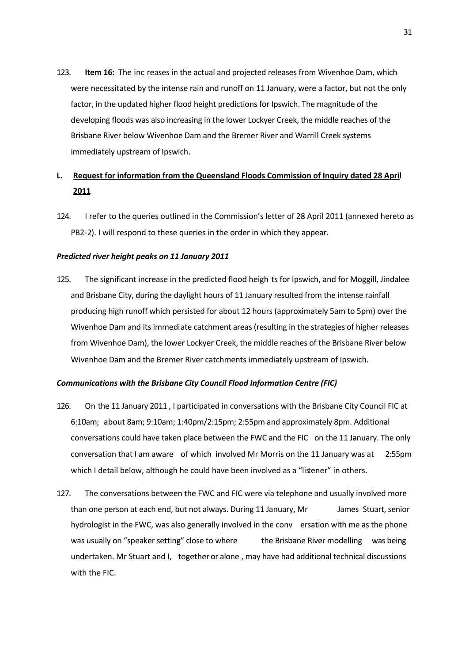123. **Item 16:** The inc reases in the actual and projected releases from Wivenhoe Dam, which were necessitated by the intense rain and runoff on 11 January, were a factor, but not the only factor, in the updated higher flood height predictions for Ipswich. The magnitude of the developing floods was also increasing in the lower Lockyer Creek, the middle reaches of the Brisbane River below Wivenhoe Dam and the Bremer River and Warrill Creek systems immediately upstream of Ipswich.

# **L. Request for information from the Queensland Floods Commission of Inquiry dated 28 April 2011**

124. I refer to the queries outlined in the Commission's letter of 28 April 2011 (annexed hereto as PB2-2). I will respond to these queries in the order in which they appear.

## *Predicted river height peaks on 11 January 2011*

125. The significant increase in the predicted flood heigh ts for Ipswich, and for Moggill, Jindalee and Brisbane City, during the daylight hours of 11 January resulted from the intense rainfall producing high runoff which persisted for about 12 hours (approximately 5am to 5pm) over the Wivenhoe Dam and its immediate catchment areas (resulting in the strategies of higher releases from Wivenhoe Dam), the lower Lockyer Creek, the middle reaches of the Brisbane River below Wivenhoe Dam and the Bremer River catchments immediately upstream of Ipswich.

## *Communications with the Brisbane City Council Flood Information Centre (FIC)*

- 126. On the 11 January 2011 , I participated in conversations with the Brisbane City Council FIC at 6:10am; about 8am; 9:10am; 1:40pm/2:15pm; 2:55pm and approximately 8pm. Additional conversations could have taken place between the FWC and the FIC on the 11 January. The only conversation that I am aware of which involved Mr Morris on the 11 January was at 2:55pm which I detail below, although he could have been involved as a "listener" in others.
- 127. The conversations between the FWC and FIC were via telephone and usually involved more than one person at each end, but not always. During 11 January, Mr James Stuart, senior hydrologist in the FWC, was also generally involved in the conv ersation with me as the phone was usually on "speaker setting" close to where the Brisbane River modelling was being undertaken. Mr Stuart and I, together or alone , may have had additional technical discussions with the FIC.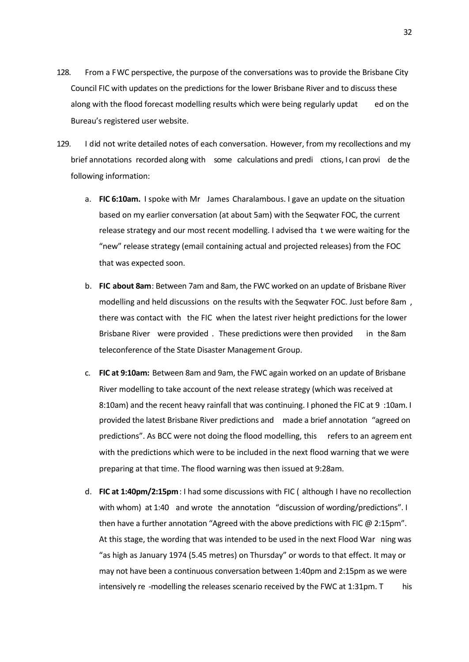- 128. From a FWC perspective, the purpose of the conversations was to provide the Brisbane City Council FIC with updates on the predictions for the lower Brisbane River and to discuss these along with the flood forecast modelling results which were being regularly updat ed on the Bureau's registered user website.
- 129. I did not write detailed notes of each conversation. However, from my recollections and my brief annotations recorded along with some calculations and predi ctions, I can provi de the following information:
	- a. **FIC 6:10am.** I spoke with Mr James Charalambous. I gave an update on the situation based on my earlier conversation (at about 5am) with the Seqwater FOC, the current release strategy and our most recent modelling. I advised tha t we were waiting for the "new" release strategy (email containing actual and projected releases) from the FOC that was expected soon.
	- b. **FIC about 8am**: Between 7am and 8am, the FWC worked on an update of Brisbane River modelling and held discussions on the results with the Seqwater FOC. Just before 8am , there was contact with the FIC when the latest river height predictions for the lower Brisbane River were provided . These predictions were then provided in the 8am teleconference of the State Disaster Management Group.
	- c. **FIC at 9:10am:** Between 8am and 9am, the FWC again worked on an update of Brisbane River modelling to take account of the next release strategy (which was received at 8:10am) and the recent heavy rainfall that was continuing. I phoned the FIC at 9 :10am. I provided the latest Brisbane River predictions and made a brief annotation "agreed on predictions". As BCC were not doing the flood modelling, this refers to an agreem ent with the predictions which were to be included in the next flood warning that we were preparing at that time. The flood warning was then issued at 9:28am.
	- d. **FIC at 1:40pm/2:15pm**: I had some discussions with FIC ( although I have no recollection with whom) at 1:40 and wrote the annotation "discussion of wording/predictions". I then have a further annotation "Agreed with the above predictions with FIC @ 2:15pm". At this stage, the wording that was intended to be used in the next Flood War ning was "as high as January 1974 (5.45 metres) on Thursday" or words to that effect. It may or may not have been a continuous conversation between 1:40pm and 2:15pm as we were intensively re -modelling the releases scenario received by the FWC at  $1:31 \text{pm}$ . This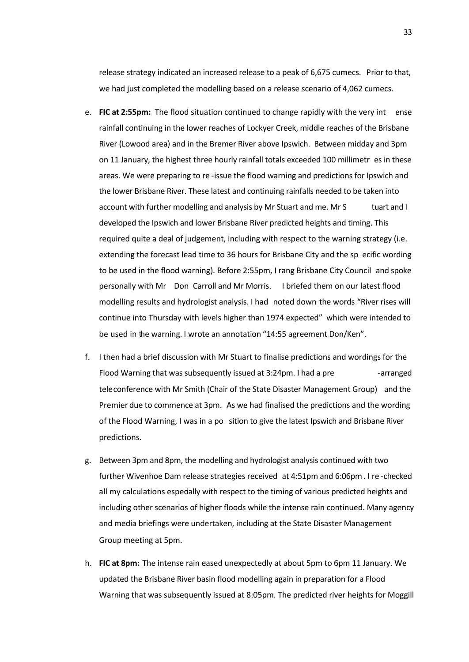release strategy indicated an increased release to a peak of 6,675 cumecs. Prior to that, we had just completed the modelling based on a release scenario of 4,062 cumecs.

- e. **FIC at 2:55pm:** The flood situation continued to change rapidly with the very int ense rainfall continuing in the lower reaches of Lockyer Creek, middle reaches of the Brisbane River (Lowood area) and in the Bremer River above Ipswich. Between midday and 3pm on 11 January, the highest three hourly rainfall totals exceeded 100 millimetr es in these areas. We were preparing to re -issue the flood warning and predictions for Ipswich and the lower Brisbane River. These latest and continuing rainfalls needed to be taken into account with further modelling and analysis by Mr Stuart and me. Mr S tuart and I developed the Ipswich and lower Brisbane River predicted heights and timing. This required quite a deal of judgement, including with respect to the warning strategy (i.e. extending the forecast lead time to 36 hours for Brisbane City and the sp ecific wording to be used in the flood warning). Before 2:55pm, I rang Brisbane City Council and spoke personally with Mr Don Carroll and Mr Morris. I briefed them on our latest flood modelling results and hydrologist analysis. I had noted down the words "River rises will continue into Thursday with levels higher than 1974 expected" which were intended to be used in the warning. I wrote an annotation "14:55 agreement Don/Ken".
- f. I then had a brief discussion with Mr Stuart to finalise predictions and wordings for the Flood Warning that was subsequently issued at 3:24pm. I had a pre -arranged teleconference with Mr Smith (Chair of the State Disaster Management Group) and the Premier due to commence at 3pm. As we had finalised the predictions and the wording of the Flood Warning, I was in a po sition to give the latest Ipswich and Brisbane River predictions.
- g. Between 3pm and 8pm, the modelling and hydrologist analysis continued with two further Wivenhoe Dam release strategies received at 4:51pm and 6:06pm. I re -checked all my calculations especially with respect to the timing of various predicted heights and including other scenarios of higher floods while the intense rain continued. Many agency and media briefings were undertaken, including at the State Disaster Management Group meeting at 5pm.
- h. **FIC at 8pm:** The intense rain eased unexpectedly at about 5pm to 6pm 11 January. We updated the Brisbane River basin flood modelling again in preparation for a Flood Warning that was subsequently issued at 8:05pm. The predicted river heights for Moggill